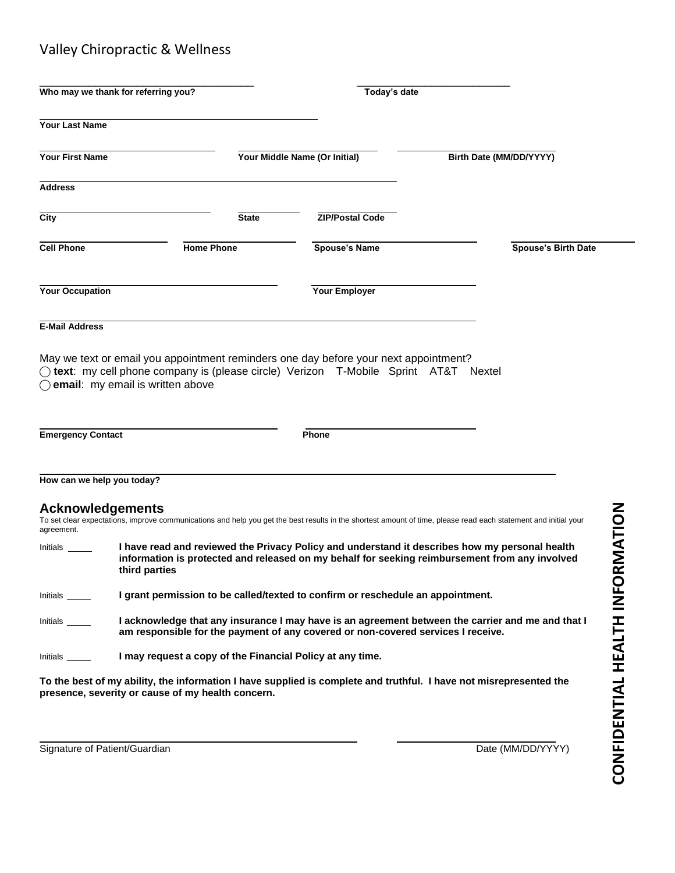## Valley Chiropractic & Wellness

|                          | Who may we thank for referring you?                                                                                                                                                                  | Today's date                  |                                                                                                                                                                                                                                                                                                                                                                                |  |  |  |
|--------------------------|------------------------------------------------------------------------------------------------------------------------------------------------------------------------------------------------------|-------------------------------|--------------------------------------------------------------------------------------------------------------------------------------------------------------------------------------------------------------------------------------------------------------------------------------------------------------------------------------------------------------------------------|--|--|--|
| <b>Your Last Name</b>    |                                                                                                                                                                                                      |                               |                                                                                                                                                                                                                                                                                                                                                                                |  |  |  |
| <b>Your First Name</b>   |                                                                                                                                                                                                      | Your Middle Name (Or Initial) | Birth Date (MM/DD/YYYY)                                                                                                                                                                                                                                                                                                                                                        |  |  |  |
| <b>Address</b>           |                                                                                                                                                                                                      |                               |                                                                                                                                                                                                                                                                                                                                                                                |  |  |  |
| City                     | <b>State</b>                                                                                                                                                                                         | <b>ZIP/Postal Code</b>        |                                                                                                                                                                                                                                                                                                                                                                                |  |  |  |
| <b>Cell Phone</b>        | <b>Home Phone</b>                                                                                                                                                                                    | <b>Spouse's Name</b>          | <b>Spouse's Birth Date</b>                                                                                                                                                                                                                                                                                                                                                     |  |  |  |
| <b>Your Occupation</b>   |                                                                                                                                                                                                      | Your Employer                 |                                                                                                                                                                                                                                                                                                                                                                                |  |  |  |
| <b>E-Mail Address</b>    |                                                                                                                                                                                                      |                               |                                                                                                                                                                                                                                                                                                                                                                                |  |  |  |
| <b>Emergency Contact</b> | $\bigcap$ email: my email is written above                                                                                                                                                           | Phone                         |                                                                                                                                                                                                                                                                                                                                                                                |  |  |  |
|                          | How can we help you today?                                                                                                                                                                           |                               |                                                                                                                                                                                                                                                                                                                                                                                |  |  |  |
| agreement.<br>Initials   | <b>Acknowledgements</b><br>third parties                                                                                                                                                             |                               | RMATION<br>To set clear expectations, improve communications and help you get the best results in the shortest amount of time, please read each statement and initial your<br>I have read and reviewed the Privacy Policy and understand it describes how my personal health<br>information is protected and released on my behalf for seeking reimbursement from any involved |  |  |  |
| Initials                 | I grant permission to be called/texted to confirm or reschedule an appointment.                                                                                                                      |                               |                                                                                                                                                                                                                                                                                                                                                                                |  |  |  |
| Initials _____           | HEALTH INFO<br>I acknowledge that any insurance I may have is an agreement between the carrier and me and that I<br>am responsible for the payment of any covered or non-covered services I receive. |                               |                                                                                                                                                                                                                                                                                                                                                                                |  |  |  |
| $Initials \_\_$          | I may request a copy of the Financial Policy at any time.                                                                                                                                            |                               |                                                                                                                                                                                                                                                                                                                                                                                |  |  |  |

**To the best of my ability, the information I have supplied is complete and truthful. I have not misrepresented the presence, severity or cause of my health concern.**

Signature of Patient/Guardian Date (MM/DD/YYYY)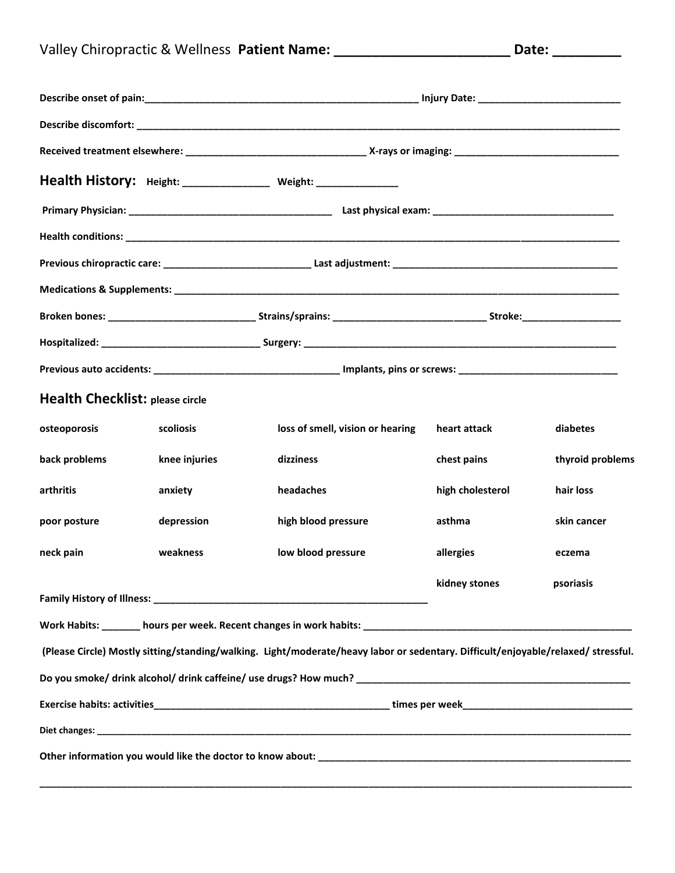| Valley Chiropractic & Wellness Patient Name: | Date: |
|----------------------------------------------|-------|
|----------------------------------------------|-------|

|                                        |               | Health History: Height: _______________ Weight: ______________                                                                                                                                                                       |                  |                  |  |  |
|----------------------------------------|---------------|--------------------------------------------------------------------------------------------------------------------------------------------------------------------------------------------------------------------------------------|------------------|------------------|--|--|
|                                        |               |                                                                                                                                                                                                                                      |                  |                  |  |  |
|                                        |               |                                                                                                                                                                                                                                      |                  |                  |  |  |
|                                        |               |                                                                                                                                                                                                                                      |                  |                  |  |  |
|                                        |               |                                                                                                                                                                                                                                      |                  |                  |  |  |
|                                        |               |                                                                                                                                                                                                                                      |                  |                  |  |  |
|                                        |               |                                                                                                                                                                                                                                      |                  |                  |  |  |
|                                        |               |                                                                                                                                                                                                                                      |                  |                  |  |  |
| <b>Health Checklist: please circle</b> |               |                                                                                                                                                                                                                                      |                  |                  |  |  |
| osteoporosis                           | scoliosis     | loss of smell, vision or hearing                                                                                                                                                                                                     | heart attack     | diabetes         |  |  |
| back problems                          | knee injuries | dizziness                                                                                                                                                                                                                            | chest pains      | thyroid problems |  |  |
| arthritis                              | anxiety       | headaches                                                                                                                                                                                                                            | high cholesterol | hair loss        |  |  |
| poor posture                           | depression    | high blood pressure                                                                                                                                                                                                                  | asthma           | skin cancer      |  |  |
| neck pain                              | weakness      | low blood pressure                                                                                                                                                                                                                   | allergies        | eczema           |  |  |
|                                        |               | <b>Family History of Illness: State of the State of State Automobile State Automobile State Automobile State Automobile State Automobile State Automobile State Automobile State Automobile State Automobile State Automobile St</b> | kidney stones    | psoriasis        |  |  |
|                                        |               |                                                                                                                                                                                                                                      |                  |                  |  |  |
|                                        |               | (Please Circle) Mostly sitting/standing/walking. Light/moderate/heavy labor or sedentary. Difficult/enjoyable/relaxed/stressful.                                                                                                     |                  |                  |  |  |
|                                        |               | Do you smoke/ drink alcohol/ drink caffeine/ use drugs? How much? Demonstrational control of the control of the                                                                                                                      |                  |                  |  |  |
|                                        |               |                                                                                                                                                                                                                                      |                  |                  |  |  |
|                                        |               |                                                                                                                                                                                                                                      |                  |                  |  |  |
|                                        |               |                                                                                                                                                                                                                                      |                  |                  |  |  |